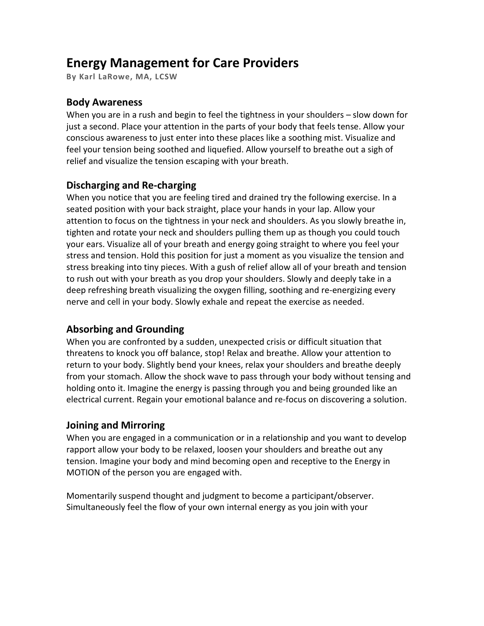# **Energy Management for Care Providers**

**By Karl LaRowe, MA, LCSW**

#### **Body Awareness**

When you are in a rush and begin to feel the tightness in your shoulders – slow down for just a second. Place your attention in the parts of your body that feels tense. Allow your conscious awareness to just enter into these places like a soothing mist. Visualize and feel your tension being soothed and liquefied. Allow yourself to breathe out a sigh of relief and visualize the tension escaping with your breath.

### **Discharging and Re-charging**

When you notice that you are feeling tired and drained try the following exercise. In a seated position with your back straight, place your hands in your lap. Allow your attention to focus on the tightness in your neck and shoulders. As you slowly breathe in, tighten and rotate your neck and shoulders pulling them up as though you could touch your ears. Visualize all of your breath and energy going straight to where you feel your stress and tension. Hold this position for just a moment as you visualize the tension and stress breaking into tiny pieces. With a gush of relief allow all of your breath and tension to rush out with your breath as you drop your shoulders. Slowly and deeply take in a deep refreshing breath visualizing the oxygen filling, soothing and re-energizing every nerve and cell in your body. Slowly exhale and repeat the exercise as needed.

## **Absorbing and Grounding**

When you are confronted by a sudden, unexpected crisis or difficult situation that threatens to knock you off balance, stop! Relax and breathe. Allow your attention to return to your body. Slightly bend your knees, relax your shoulders and breathe deeply from your stomach. Allow the shock wave to pass through your body without tensing and holding onto it. Imagine the energy is passing through you and being grounded like an electrical current. Regain your emotional balance and re-focus on discovering a solution.

#### **Joining and Mirroring**

When you are engaged in a communication or in a relationship and you want to develop rapport allow your body to be relaxed, loosen your shoulders and breathe out any tension. Imagine your body and mind becoming open and receptive to the Energy in MOTION of the person you are engaged with.

Momentarily suspend thought and judgment to become a participant/observer. Simultaneously feel the flow of your own internal energy as you join with your